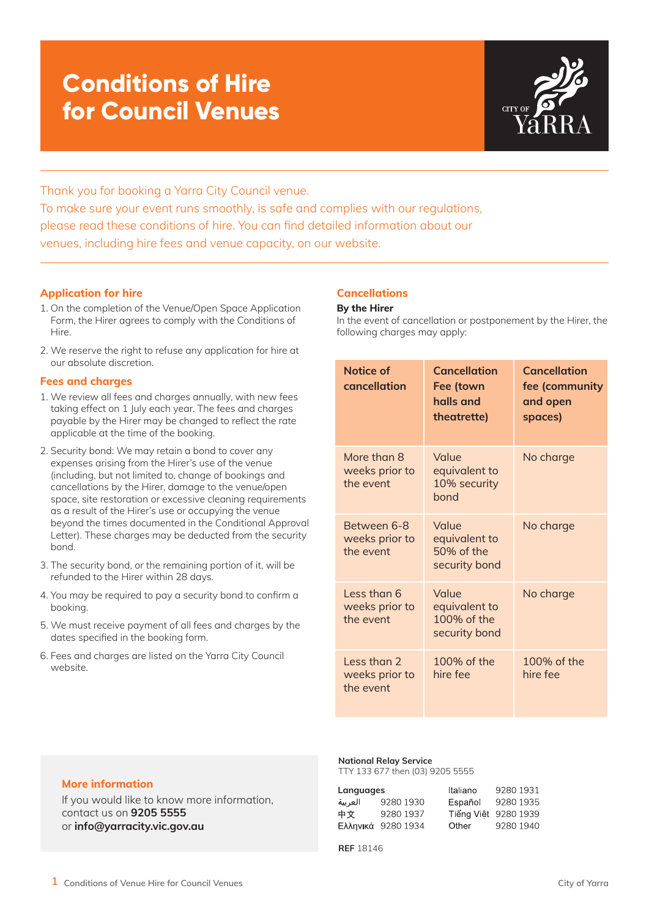

Thank you for booking a Yarra City Council venue. To make sure your event runs smoothly, is safe and complies with our regulations, please read these conditions of hire. You can find detailed information about our venues, including hire fees and venue capacity, on our website.

### **Application for hire**

- 1. On the completion of the Venue/Open Space Application Form, the Hirer agrees to comply with the Conditions of Hire.
- 2. We reserve the right to refuse any application for hire at our absolute discretion.

## **Fees and charges**

- 1. We review all fees and charges annually, with new fees taking effect on 1 July each year. The fees and charges payable by the Hirer may be changed to reflect the rate applicable at the time of the booking.
- 2. Security bond: We may retain a bond to cover any expenses arising from the Hirer's use of the venue (including, but not limited to, change of bookings and cancellations by the Hirer, damage to the venue/open space, site restoration or excessive cleaning requirements as a result of the Hirer's use or occupying the venue beyond the times documented in the Conditional Approval Letter). These charges may be deducted from the security bond.
- 3. The security bond, or the remaining portion of it, will be refunded to the Hirer within 28 days.
- 4. You may be required to pay a security bond to confirm a booking.
- 5. We must receive payment of all fees and charges by the dates specified in the booking form.
- 6. Fees and charges are listed on the Yarra City Council website.

## **Cancellations**

#### **By the Hirer**

In the event of cancellation or postponement by the Hirer, the following charges may apply:

| Notice of<br>cancellation                  | <b>Cancellation</b><br>Fee (town<br>halls and<br>theatrette) | <b>Cancellation</b><br>fee (community<br>and open<br>spaces) |  |
|--------------------------------------------|--------------------------------------------------------------|--------------------------------------------------------------|--|
| More than 8<br>weeks prior to<br>the event | Value<br>equivalent to<br>10% security<br>bond               | No charge                                                    |  |
| Between 6-8<br>weeks prior to<br>the event | Value<br>equivalent to<br>50% of the<br>security bond        | No charge                                                    |  |
| Less than 6<br>weeks prior to<br>the event | Value<br>equivalent to<br>100% of the<br>security bond       | No charge                                                    |  |
| Less than 2<br>weeks prior to<br>the event | 100% of the<br>hire fee                                      | 100% of the<br>hire fee                                      |  |

## **More information**

If you would like to know more information, contact us on **9205 5555** or **info@yarracity.vic.gov.au**

#### **National Relay Service**

TTY 133 677 then (03) 9205 5555

| Languages |                    | Italiano | 9280 1931            |
|-----------|--------------------|----------|----------------------|
| العربية   | 9280 1930          | Español  | 9280 1935            |
| 中文        | 9280 1937          |          | Tiếng Việt 9280 1939 |
|           | Ελληνικά 9280 1934 | Other    | 9280 1940            |

**REF** 18146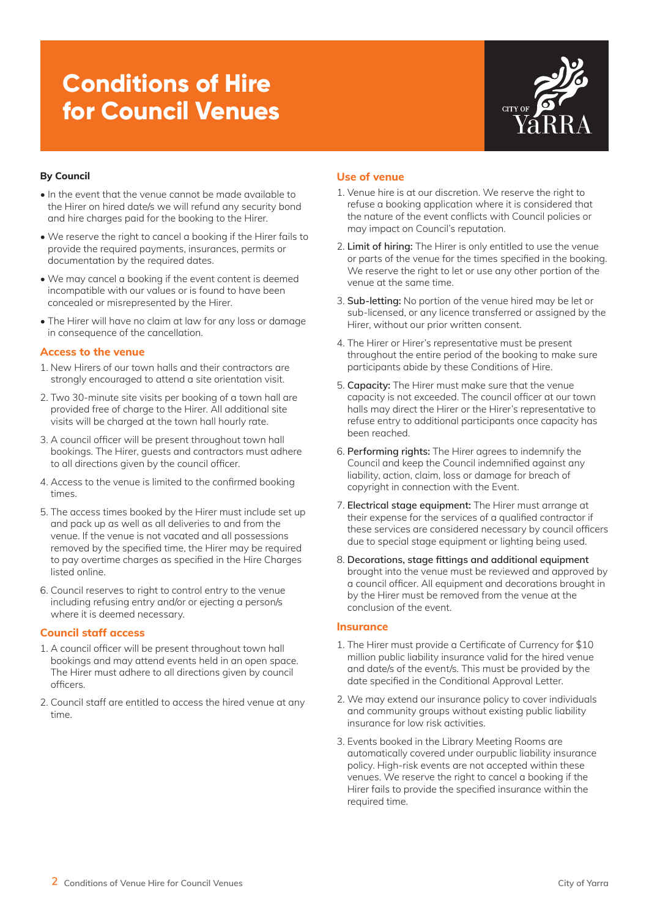

## **By Council**

- In the event that the venue cannot be made available to the Hirer on hired date/s we will refund any security bond and hire charges paid for the booking to the Hirer.
- We reserve the right to cancel a booking if the Hirer fails to provide the required payments, insurances, permits or documentation by the required dates.
- We may cancel a booking if the event content is deemed incompatible with our values or is found to have been concealed or misrepresented by the Hirer.
- The Hirer will have no claim at law for any loss or damage in consequence of the cancellation.

## **Access to the venue**

- 1. New Hirers of our town halls and their contractors are strongly encouraged to attend a site orientation visit.
- 2. Two 30-minute site visits per booking of a town hall are provided free of charge to the Hirer. All additional site visits will be charged at the town hall hourly rate.
- 3. A council officer will be present throughout town hall bookings. The Hirer, guests and contractors must adhere to all directions given by the council officer.
- 4. Access to the venue is limited to the confirmed booking times.
- 5. The access times booked by the Hirer must include set up and pack up as well as all deliveries to and from the venue. If the venue is not vacated and all possessions removed by the specified time, the Hirer may be required to pay overtime charges as specified in the Hire Charges listed online.
- 6. Council reserves to right to control entry to the venue including refusing entry and/or or ejecting a person/s where it is deemed necessary.

### **Council staff access**

- 1. A council officer will be present throughout town hall bookings and may attend events held in an open space. The Hirer must adhere to all directions given by council officers.
- 2. Council staff are entitled to access the hired venue at any time.

## **Use of venue**

- 1. Venue hire is at our discretion. We reserve the right to refuse a booking application where it is considered that the nature of the event conflicts with Council policies or may impact on Council's reputation.
- 2. **Limit of hiring:** The Hirer is only entitled to use the venue or parts of the venue for the times specified in the booking. We reserve the right to let or use any other portion of the venue at the same time.
- 3. **Sub-letting:** No portion of the venue hired may be let or sub-licensed, or any licence transferred or assigned by the Hirer, without our prior written consent.
- 4. The Hirer or Hirer's representative must be present throughout the entire period of the booking to make sure participants abide by these Conditions of Hire.
- 5. **Capacity:** The Hirer must make sure that the venue capacity is not exceeded. The council officer at our town halls may direct the Hirer or the Hirer's representative to refuse entry to additional participants once capacity has been reached.
- 6. **Performing rights:** The Hirer agrees to indemnify the Council and keep the Council indemnified against any liability, action, claim, loss or damage for breach of copyright in connection with the Event.
- 7. **Electrical stage equipment:** The Hirer must arrange at their expense for the services of a qualified contractor if these services are considered necessary by council officers due to special stage equipment or lighting being used.
- 8. **Decorations, stage fittings and additional equipment**  brought into the venue must be reviewed and approved by a council officer. All equipment and decorations brought in by the Hirer must be removed from the venue at the conclusion of the event.

### **Insurance**

- 1. The Hirer must provide a Certificate of Currency for \$10 million public liability insurance valid for the hired venue and date/s of the event/s. This must be provided by the date specified in the Conditional Approval Letter.
- 2. We may extend our insurance policy to cover individuals and community groups without existing public liability insurance for low risk activities.
- 3. Events booked in the Library Meeting Rooms are automatically covered under ourpublic liability insurance policy. High-risk events are not accepted within these venues. We reserve the right to cancel a booking if the Hirer fails to provide the specified insurance within the required time.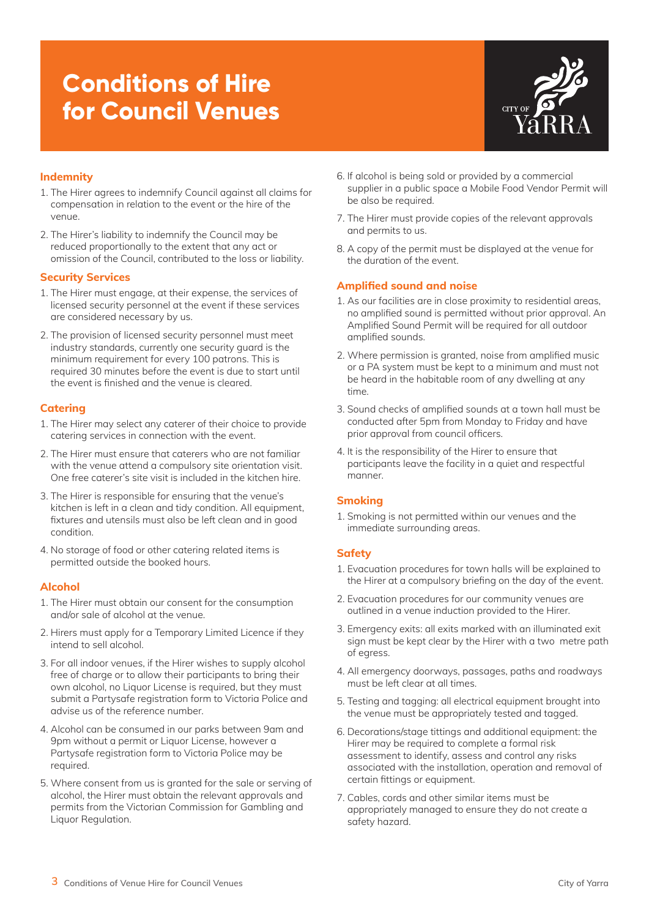

## **Indemnity**

- 1. The Hirer agrees to indemnify Council against all claims for compensation in relation to the event or the hire of the venue.
- 2. The Hirer's liability to indemnify the Council may be reduced proportionally to the extent that any act or omission of the Council, contributed to the loss or liability.

## **Security Services**

- 1. The Hirer must engage, at their expense, the services of licensed security personnel at the event if these services are considered necessary by us.
- 2. The provision of licensed security personnel must meet industry standards, currently one security guard is the minimum requirement for every 100 patrons. This is required 30 minutes before the event is due to start until the event is finished and the venue is cleared.

# **Catering**

- 1. The Hirer may select any caterer of their choice to provide catering services in connection with the event.
- 2. The Hirer must ensure that caterers who are not familiar with the venue attend a compulsory site orientation visit. One free caterer's site visit is included in the kitchen hire.
- 3. The Hirer is responsible for ensuring that the venue's kitchen is left in a clean and tidy condition. All equipment, fixtures and utensils must also be left clean and in good condition.
- 4. No storage of food or other catering related items is permitted outside the booked hours.

## **Alcohol**

- 1. The Hirer must obtain our consent for the consumption and/or sale of alcohol at the venue.
- 2. Hirers must apply for a Temporary Limited Licence if they intend to sell alcohol.
- 3. For all indoor venues, if the Hirer wishes to supply alcohol free of charge or to allow their participants to bring their own alcohol, no Liquor License is required, but they must submit a Partysafe registration form to Victoria Police and advise us of the reference number.
- 4. Alcohol can be consumed in our parks between 9am and 9pm without a permit or Liquor License, however a Partysafe registration form to Victoria Police may be required.
- 5. Where consent from us is granted for the sale or serving of alcohol, the Hirer must obtain the relevant approvals and permits from the Victorian Commission for Gambling and Liquor Regulation.
- 6. If alcohol is being sold or provided by a commercial supplier in a public space a Mobile Food Vendor Permit will be also be required.
- 7. The Hirer must provide copies of the relevant approvals and permits to us.
- 8. A copy of the permit must be displayed at the venue for the duration of the event.

# **Amplified sound and noise**

- 1. As our facilities are in close proximity to residential areas, no amplified sound is permitted without prior approval. An Amplified Sound Permit will be required for all outdoor amplified sounds.
- 2. Where permission is granted, noise from amplified music or a PA system must be kept to a minimum and must not be heard in the habitable room of any dwelling at any time.
- 3. Sound checks of amplified sounds at a town hall must be conducted after 5pm from Monday to Friday and have prior approval from council officers.
- 4. It is the responsibility of the Hirer to ensure that participants leave the facility in a quiet and respectful manner.

# **Smoking**

1. Smoking is not permitted within our venues and the immediate surrounding areas.

# **Safety**

- 1. Evacuation procedures for town halls will be explained to the Hirer at a compulsory briefing on the day of the event.
- 2. Evacuation procedures for our community venues are outlined in a venue induction provided to the Hirer.
- 3. Emergency exits: all exits marked with an illuminated exit sign must be kept clear by the Hirer with a two metre path of egress.
- 4. All emergency doorways, passages, paths and roadways must be left clear at all times.
- 5. Testing and tagging: all electrical equipment brought into the venue must be appropriately tested and tagged.
- 6. Decorations/stage tittings and additional equipment: the Hirer may be required to complete a formal risk assessment to identify, assess and control any risks associated with the installation, operation and removal of certain fittings or equipment.
- 7. Cables, cords and other similar items must be appropriately managed to ensure they do not create a safety hazard.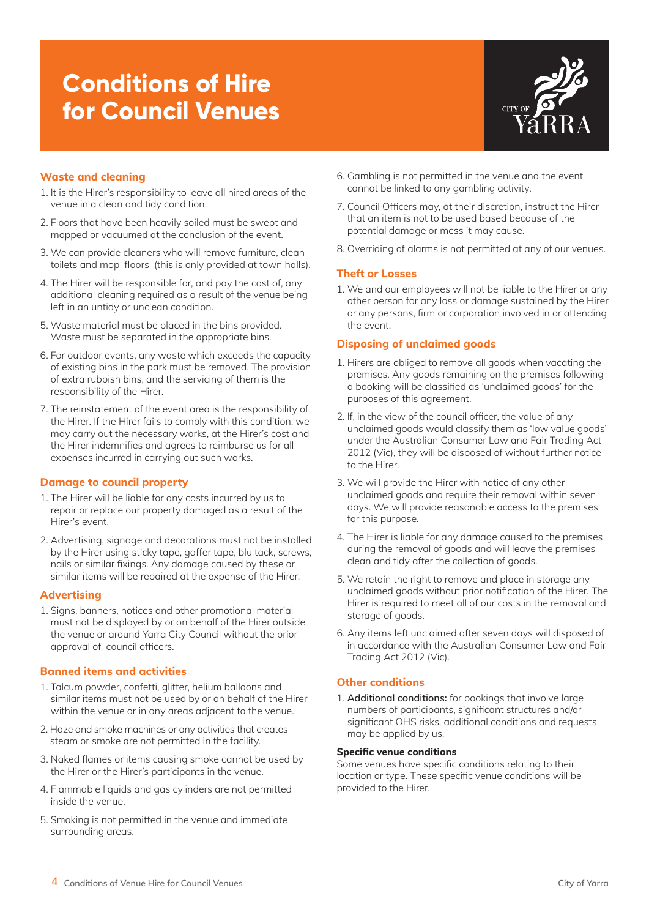

## **Waste and cleaning**

- 1. It is the Hirer's responsibility to leave all hired areas of the venue in a clean and tidy condition.
- 2. Floors that have been heavily soiled must be swept and mopped or vacuumed at the conclusion of the event.
- 3. We can provide cleaners who will remove furniture, clean toilets and mop floors (this is only provided at town halls).
- 4. The Hirer will be responsible for, and pay the cost of, any additional cleaning required as a result of the venue being left in an untidy or unclean condition.
- 5. Waste material must be placed in the bins provided. Waste must be separated in the appropriate bins.
- 6. For outdoor events, any waste which exceeds the capacity of existing bins in the park must be removed. The provision of extra rubbish bins, and the servicing of them is the responsibility of the Hirer.
- 7. The reinstatement of the event area is the responsibility of the Hirer. If the Hirer fails to comply with this condition, we may carry out the necessary works, at the Hirer's cost and the Hirer indemnifies and agrees to reimburse us for all expenses incurred in carrying out such works.

### **Damage to council property**

- 1. The Hirer will be liable for any costs incurred by us to repair or replace our property damaged as a result of the Hirer's event.
- 2. Advertising, signage and decorations must not be installed by the Hirer using sticky tape, gaffer tape, blu tack, screws, nails or similar fixings. Any damage caused by these or similar items will be repaired at the expense of the Hirer.

### **Advertising**

1. Signs, banners, notices and other promotional material must not be displayed by or on behalf of the Hirer outside the venue or around Yarra City Council without the prior approval of council officers.

## **Banned items and activities**

- 1. Talcum powder, confetti, glitter, helium balloons and similar items must not be used by or on behalf of the Hirer within the venue or in any areas adjacent to the venue.
- 2. Haze and smoke machines or any activities that creates steam or smoke are not permitted in the facility.
- 3. Naked flames or items causing smoke cannot be used by the Hirer or the Hirer's participants in the venue.
- 4. Flammable liquids and gas cylinders are not permitted inside the venue.
- 5. Smoking is not permitted in the venue and immediate surrounding areas.
- 6. Gambling is not permitted in the venue and the event cannot be linked to any gambling activity.
- 7. Council Officers may, at their discretion, instruct the Hirer that an item is not to be used based because of the potential damage or mess it may cause.
- 8. Overriding of alarms is not permitted at any of our venues.

## **Theft or Losses**

1. We and our employees will not be liable to the Hirer or any other person for any loss or damage sustained by the Hirer or any persons, firm or corporation involved in or attending the event.

## **Disposing of unclaimed goods**

- 1. Hirers are obliged to remove all goods when vacating the premises. Any goods remaining on the premises following a booking will be classified as 'unclaimed goods' for the purposes of this agreement.
- 2. If, in the view of the council officer, the value of any unclaimed goods would classify them as 'low value goods' under the Australian Consumer Law and Fair Trading Act 2012 (Vic), they will be disposed of without further notice to the Hirer.
- 3. We will provide the Hirer with notice of any other unclaimed goods and require their removal within seven days. We will provide reasonable access to the premises for this purpose.
- 4. The Hirer is liable for any damage caused to the premises during the removal of goods and will leave the premises clean and tidy after the collection of goods.
- 5. We retain the right to remove and place in storage any unclaimed goods without prior notification of the Hirer. The Hirer is required to meet all of our costs in the removal and storage of goods.
- 6. Any items left unclaimed after seven days will disposed of in accordance with the Australian Consumer Law and Fair Trading Act 2012 (Vic).

## **Other conditions**

1. **Additional conditions:** for bookings that involve large numbers of participants, significant structures and/or significant OHS risks, additional conditions and requests may be applied by us.

### **Specific venue conditions**

Some venues have specific conditions relating to their location or type. These specific venue conditions will be provided to the Hirer.